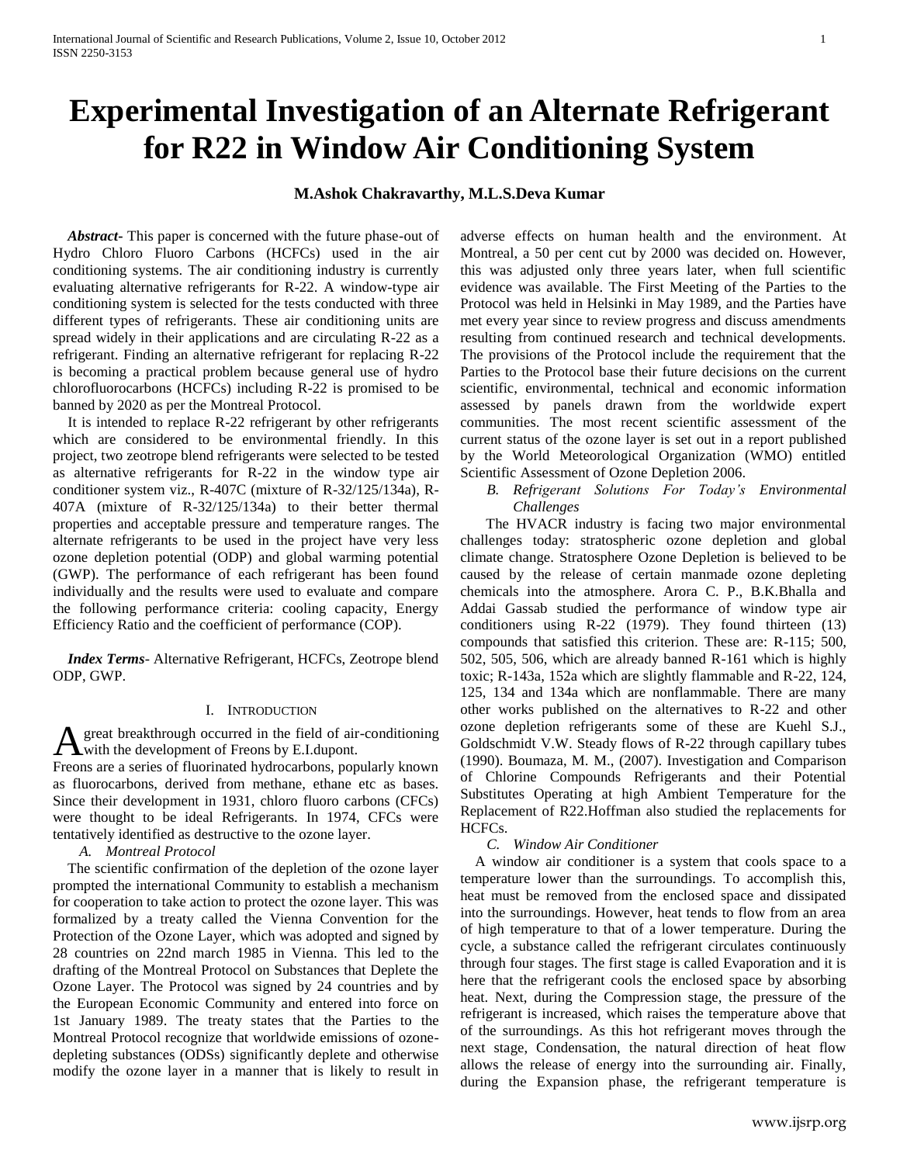# **Experimental Investigation of an Alternate Refrigerant for R22 in Window Air Conditioning System**

# **M.Ashok Chakravarthy, M.L.S.Deva Kumar**

 *Abstract***-** This paper is concerned with the future phase-out of Hydro Chloro Fluoro Carbons (HCFCs) used in the air conditioning systems. The air conditioning industry is currently evaluating alternative refrigerants for R-22. A window-type air conditioning system is selected for the tests conducted with three different types of refrigerants. These air conditioning units are spread widely in their applications and are circulating R-22 as a refrigerant. Finding an alternative refrigerant for replacing R-22 is becoming a practical problem because general use of hydro chlorofluorocarbons (HCFCs) including R-22 is promised to be banned by 2020 as per the Montreal Protocol.

 It is intended to replace R-22 refrigerant by other refrigerants which are considered to be environmental friendly. In this project, two zeotrope blend refrigerants were selected to be tested as alternative refrigerants for R-22 in the window type air conditioner system viz., R-407C (mixture of R-32/125/134a), R-407A (mixture of R-32/125/134a) to their better thermal properties and acceptable pressure and temperature ranges. The alternate refrigerants to be used in the project have very less ozone depletion potential (ODP) and global warming potential (GWP). The performance of each refrigerant has been found individually and the results were used to evaluate and compare the following performance criteria: cooling capacity, Energy Efficiency Ratio and the coefficient of performance (COP).

 *Index Terms*- Alternative Refrigerant, HCFCs, Zeotrope blend ODP, GWP.

#### I. INTRODUCTION

great breakthrough occurred in the field of air-conditioning **A** great breakthrough occurred in the field of air-<br>with the development of Freons by E.I.dupont.

Freons are a series of fluorinated hydrocarbons, popularly known as fluorocarbons, derived from methane, ethane etc as bases. Since their development in 1931, chloro fluoro carbons (CFCs) were thought to be ideal Refrigerants. In 1974, CFCs were tentatively identified as destructive to the ozone layer.

*A. Montreal Protocol* 

 The scientific confirmation of the depletion of the ozone layer prompted the international Community to establish a mechanism for cooperation to take action to protect the ozone layer. This was formalized by a treaty called the Vienna Convention for the Protection of the Ozone Layer, which was adopted and signed by 28 countries on 22nd march 1985 in Vienna. This led to the drafting of the Montreal Protocol on Substances that Deplete the Ozone Layer. The Protocol was signed by 24 countries and by the European Economic Community and entered into force on 1st January 1989. The treaty states that the Parties to the Montreal Protocol recognize that worldwide emissions of ozonedepleting substances (ODSs) significantly deplete and otherwise modify the ozone layer in a manner that is likely to result in

adverse effects on human health and the environment. At Montreal, a 50 per cent cut by 2000 was decided on. However, this was adjusted only three years later, when full scientific evidence was available. The First Meeting of the Parties to the Protocol was held in Helsinki in May 1989, and the Parties have met every year since to review progress and discuss amendments resulting from continued research and technical developments. The provisions of the Protocol include the requirement that the Parties to the Protocol base their future decisions on the current scientific, environmental, technical and economic information assessed by panels drawn from the worldwide expert communities. The most recent scientific assessment of the current status of the ozone layer is set out in a report published by the World Meteorological Organization (WMO) entitled Scientific Assessment of Ozone Depletion 2006.

*B. Refrigerant Solutions For Today's Environmental Challenges* 

 The HVACR industry is facing two major environmental challenges today: stratospheric ozone depletion and global climate change. Stratosphere Ozone Depletion is believed to be caused by the release of certain manmade ozone depleting chemicals into the atmosphere. Arora C. P., B.K.Bhalla and Addai Gassab studied the performance of window type air conditioners using R-22 (1979). They found thirteen (13) compounds that satisfied this criterion. These are: R-115; 500, 502, 505, 506, which are already banned R-161 which is highly toxic; R-143a, 152a which are slightly flammable and R-22, 124, 125, 134 and 134a which are nonflammable. There are many other works published on the alternatives to R-22 and other ozone depletion refrigerants some of these are Kuehl S.J., Goldschmidt V.W. Steady flows of R-22 through capillary tubes (1990). Boumaza, M. M., (2007). Investigation and Comparison of Chlorine Compounds Refrigerants and their Potential Substitutes Operating at high Ambient Temperature for the Replacement of R22.Hoffman also studied the replacements for HCFCs.

## *C. Window Air Conditioner*

 A window air conditioner is a system that cools space to a temperature lower than the surroundings. To accomplish this, heat must be removed from the enclosed space and dissipated into the surroundings. However, heat tends to flow from an area of high temperature to that of a lower temperature. During the cycle, a substance called the refrigerant circulates continuously through four stages. The first stage is called Evaporation and it is here that the refrigerant cools the enclosed space by absorbing heat. Next, during the Compression stage, the pressure of the refrigerant is increased, which raises the temperature above that of the surroundings. As this hot refrigerant moves through the next stage, Condensation, the natural direction of heat flow allows the release of energy into the surrounding air. Finally, during the Expansion phase, the refrigerant temperature is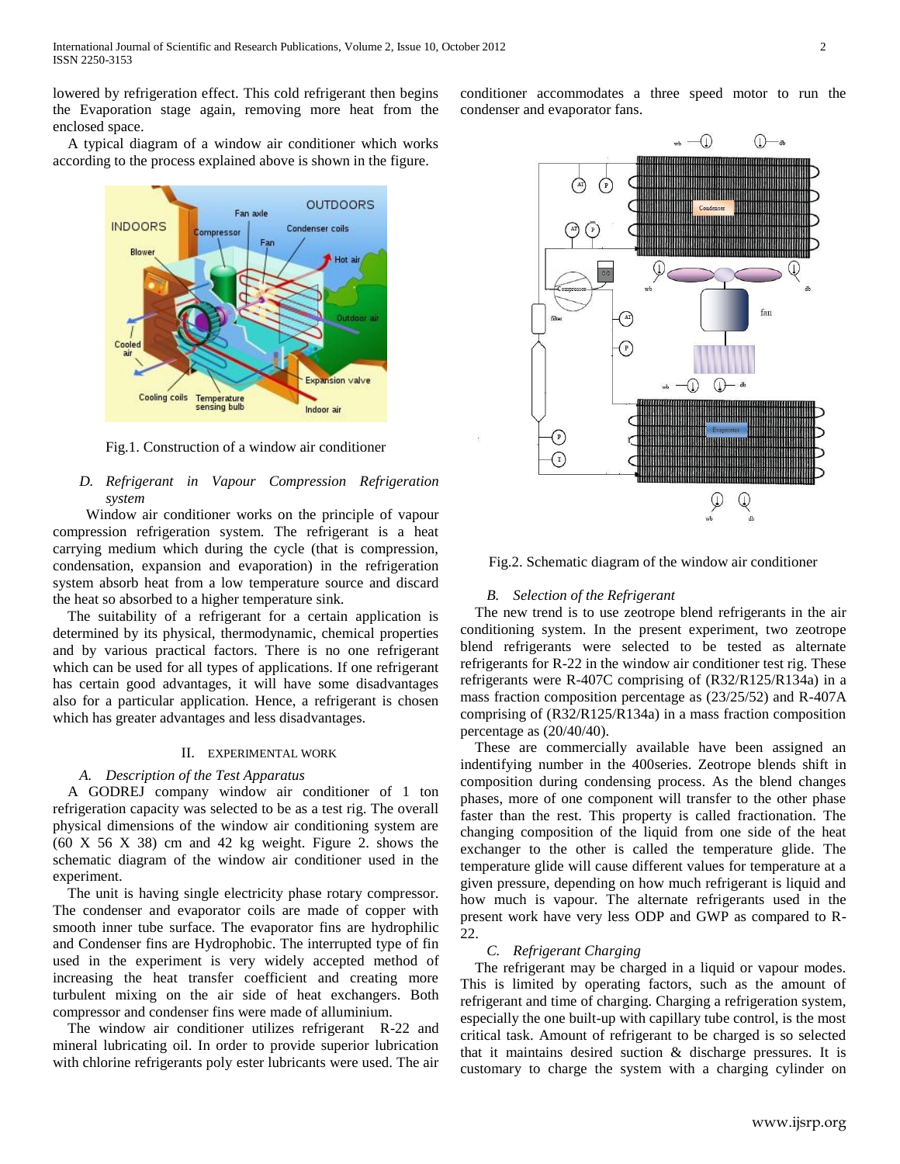lowered by refrigeration effect. This cold refrigerant then begins the Evaporation stage again, removing more heat from the enclosed space.

 A typical diagram of a window air conditioner which works according to the process explained above is shown in the figure.



Fig.1. Construction of a window air conditioner

# *D. Refrigerant in Vapour Compression Refrigeration system*

 Window air conditioner works on the principle of vapour compression refrigeration system. The refrigerant is a heat carrying medium which during the cycle (that is compression, condensation, expansion and evaporation) in the refrigeration system absorb heat from a low temperature source and discard the heat so absorbed to a higher temperature sink.

 The suitability of a refrigerant for a certain application is determined by its physical, thermodynamic, chemical properties and by various practical factors. There is no one refrigerant which can be used for all types of applications. If one refrigerant has certain good advantages, it will have some disadvantages also for a particular application. Hence, a refrigerant is chosen which has greater advantages and less disadvantages.

## II. EXPERIMENTAL WORK

## *A. Description of the Test Apparatus*

 A GODREJ company window air conditioner of 1 ton refrigeration capacity was selected to be as a test rig. The overall physical dimensions of the window air conditioning system are (60 X 56 X 38) cm and 42 kg weight. Figure 2. shows the schematic diagram of the window air conditioner used in the experiment.

 The unit is having single electricity phase rotary compressor. The condenser and evaporator coils are made of copper with smooth inner tube surface. The evaporator fins are hydrophilic and Condenser fins are Hydrophobic. The interrupted type of fin used in the experiment is very widely accepted method of increasing the heat transfer coefficient and creating more turbulent mixing on the air side of heat exchangers. Both compressor and condenser fins were made of alluminium.

 The window air conditioner utilizes refrigerant R-22 and mineral lubricating oil. In order to provide superior lubrication with chlorine refrigerants poly ester lubricants were used. The air conditioner accommodates a three speed motor to run the condenser and evaporator fans.



Fig.2. Schematic diagram of the window air conditioner

## *B. Selection of the Refrigerant*

 The new trend is to use zeotrope blend refrigerants in the air conditioning system. In the present experiment, two zeotrope blend refrigerants were selected to be tested as alternate refrigerants for R-22 in the window air conditioner test rig. These refrigerants were R-407C comprising of (R32/R125/R134a) in a mass fraction composition percentage as (23/25/52) and R-407A comprising of (R32/R125/R134a) in a mass fraction composition percentage as (20/40/40).

These are commercially available have been assigned an indentifying number in the 400series. Zeotrope blends shift in composition during condensing process. As the blend changes phases, more of one component will transfer to the other phase faster than the rest. This property is called fractionation. The changing composition of the liquid from one side of the heat exchanger to the other is called the temperature glide. The temperature glide will cause different values for temperature at a given pressure, depending on how much refrigerant is liquid and how much is vapour. The alternate refrigerants used in the present work have very less ODP and GWP as compared to R-22.

#### *C. Refrigerant Charging*

 The refrigerant may be charged in a liquid or vapour modes. This is limited by operating factors, such as the amount of refrigerant and time of charging. Charging a refrigeration system, especially the one built-up with capillary tube control, is the most critical task. Amount of refrigerant to be charged is so selected that it maintains desired suction & discharge pressures. It is customary to charge the system with a charging cylinder on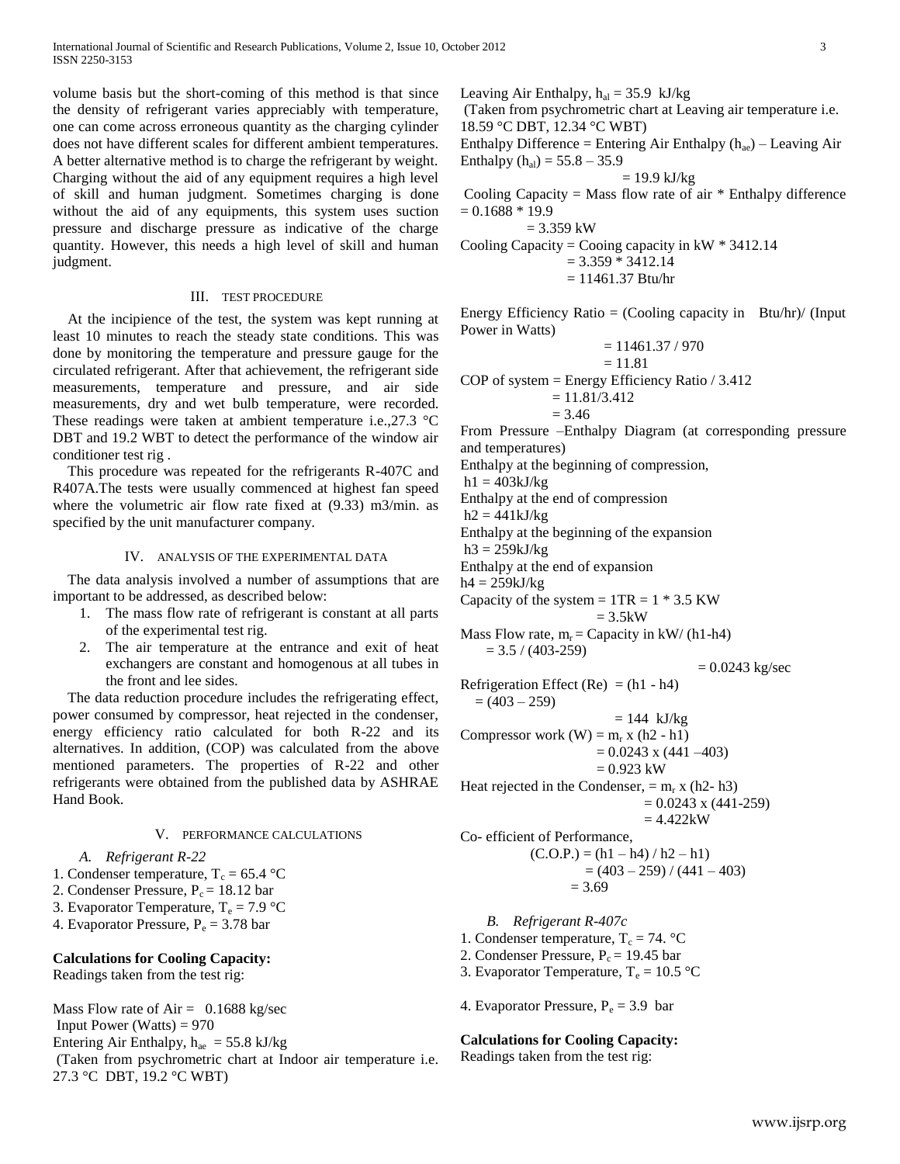volume basis but the short-coming of this method is that since the density of refrigerant varies appreciably with temperature, one can come across erroneous quantity as the charging cylinder does not have different scales for different ambient temperatures. A better alternative method is to charge the refrigerant by weight. Charging without the aid of any equipment requires a high level of skill and human judgment. Sometimes charging is done without the aid of any equipments, this system uses suction pressure and discharge pressure as indicative of the charge quantity. However, this needs a high level of skill and human judgment.

## III. TEST PROCEDURE

 At the incipience of the test, the system was kept running at least 10 minutes to reach the steady state conditions. This was done by monitoring the temperature and pressure gauge for the circulated refrigerant. After that achievement, the refrigerant side measurements, temperature and pressure, and air side measurements, dry and wet bulb temperature, were recorded. These readings were taken at ambient temperature i.e., 27.3 °C DBT and 19.2 WBT to detect the performance of the window air conditioner test rig .

 This procedure was repeated for the refrigerants R-407C and R407A.The tests were usually commenced at highest fan speed where the volumetric air flow rate fixed at (9.33) m3/min. as specified by the unit manufacturer company.

## IV. ANALYSIS OF THE EXPERIMENTAL DATA

 The data analysis involved a number of assumptions that are important to be addressed, as described below:

- 1. The mass flow rate of refrigerant is constant at all parts of the experimental test rig.
- 2. The air temperature at the entrance and exit of heat exchangers are constant and homogenous at all tubes in the front and lee sides.

 The data reduction procedure includes the refrigerating effect, power consumed by compressor, heat rejected in the condenser, energy efficiency ratio calculated for both R-22 and its alternatives. In addition, (COP) was calculated from the above mentioned parameters. The properties of R-22 and other refrigerants were obtained from the published data by ASHRAE Hand Book.

## V. PERFORMANCE CALCULATIONS

#### *A. Refrigerant R-22*

1. Condenser temperature,  $T_c = 65.4 \text{ }^{\circ}\text{C}$ 

- 2. Condenser Pressure,  $P_c = 18.12$  bar
- 3. Evaporator Temperature,  $T_e = 7.9 \text{ °C}$
- 4. Evaporator Pressure,  $P_e = 3.78$  bar

#### **Calculations for Cooling Capacity:**

Readings taken from the test rig:

Mass Flow rate of  $Air = 0.1688$  kg/sec Input Power (Watts)  $= 970$ Entering Air Enthalpy,  $h_{ae} = 55.8 \text{ kJ/kg}$ (Taken from psychrometric chart at Indoor air temperature i.e.

27.3 °C DBT, 19.2 °C WBT)

Leaving Air Enthalpy,  $h_{al} = 35.9$  kJ/kg

(Taken from psychrometric chart at Leaving air temperature i.e. 18.59 °C DBT, 12.34 °C WBT)

Enthalpy Difference = Entering Air Enthalpy  $(h_{ae})$  – Leaving Air Enthalpy  $(h_{al}) = 55.8 - 35.9$ 

$$
= 19.9 \text{ kJ/kg}
$$

Cooling Capacity = Mass flow rate of air  $*$  Enthalpy difference  $= 0.1688 * 19.9$ 

 $= 3.359$  kW Cooling Capacity = Cooing capacity in  $kW * 3412.14$  $= 3.359 * 3412.14$  $= 11461.37$  Btu/hr

Energy Efficiency Ratio = (Cooling capacity in Btu/hr)/ (Input Power in Watts)

$$
= 11461.37 / 970
$$

$$
= 11.81
$$

COP of system = Energy Efficiency Ratio  $/ 3.412$  $= 11.81/3.412$ 

$$
= 11.81/3
$$

$$
= 3.46
$$

From Pressure –Enthalpy Diagram (at corresponding pressure and temperatures)

Enthalpy at the beginning of compression,

 $h1 = 403kJ/kg$ 

Enthalpy at the end of compression

 $h2 = 441kJ/kg$ 

Enthalpy at the beginning of the expansion

 $h3 = 259kJ/kg$ 

Enthalpy at the end of expansion

 $h4 = 259kJ/kg$ 

Capacity of the system  $= 1TR = 1 * 3.5$  KW  $= 3.5$ kW

Mass Flow rate,  $m_r =$  Capacity in kW/ (h1-h4)  $= 3.5 / (403 - 259)$ 

$$
= 0.0243 \text{ kg/sec}
$$

Refrigeration Effect (Re) =  $(h1 - h4)$  $= (403 - 259)$ 

 $= 144$  kJ/kg Compressor work  $(W) = m_r x (h2 - h1)$ 

> $= 0.0243$  x (441 –403)  $= 0.923$  kW

Heat rejected in the Condenser,  $= m_r x$  (h2-h3)  $= 0.0243$  x (441-259)

 $= 4.422kW$ 

Co- efficient of Performance,

$$
(\text{C.O.P.}) = (\text{h1} - \text{h4}) / \text{h2} - \text{h1})
$$

$$
= (403 - 259) / (441 - 403)
$$

$$
= 3.69
$$

*B. Refrigerant R-407c* 

1. Condenser temperature,  $T_c = 74$ . °C

- 2. Condenser Pressure,  $P_c = 19.45$  bar
- 3. Evaporator Temperature,  $T_e = 10.5$  °C

4. Evaporator Pressure,  $P_e = 3.9$  bar

### **Calculations for Cooling Capacity:**

Readings taken from the test rig: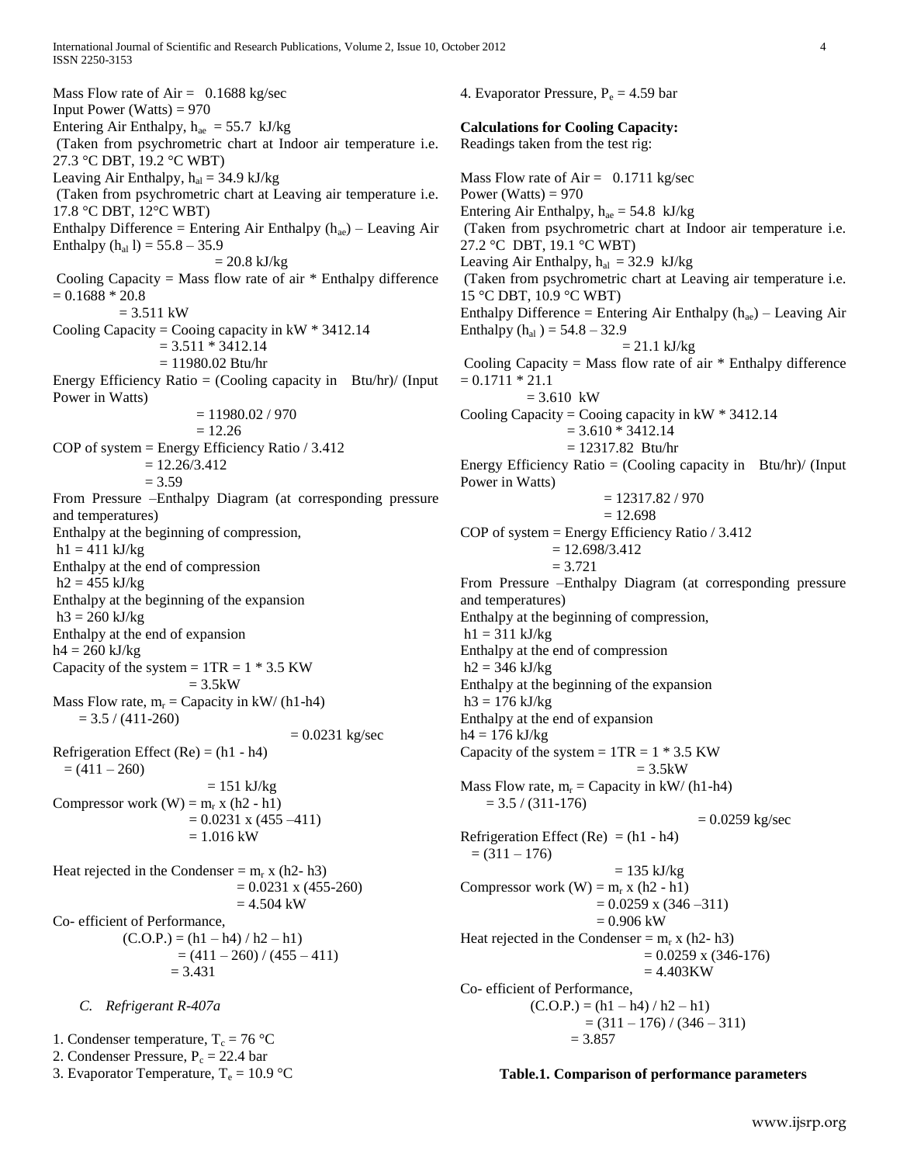International Journal of Scientific and Research Publications, Volume 2, Issue 10, October 2012 4 ISSN 2250-3153

Mass Flow rate of  $Air = 0.1688$  kg/sec Input Power (Watts)  $= 970$ Entering Air Enthalpy,  $h_{ae} = 55.7$  kJ/kg (Taken from psychrometric chart at Indoor air temperature i.e. 27.3 °C DBT, 19.2 °C WBT) Leaving Air Enthalpy,  $h_{al} = 34.9 \text{ kJ/kg}$ (Taken from psychrometric chart at Leaving air temperature i.e. 17.8 °C DBT, 12°C WBT) Enthalpy Difference = Entering Air Enthalpy  $(h_{ae})$  – Leaving Air Enthalpy  $(h_{al} 1) = 55.8 - 35.9$  $= 20.8$  kJ/kg Cooling Capacity = Mass flow rate of air  $*$  Enthalpy difference  $= 0.1688 * 20.8$  $= 3.511$  kW Cooling Capacity = Cooing capacity in  $kW * 3412.14$  $= 3.511 * 3412.14$  = 11980.02 Btu/hr Energy Efficiency Ratio = (Cooling capacity in Btu/hr)/ (Input Power in Watts)  $= 11980.02 / 970$  $= 12.26$ COP of system  $=$  Energy Efficiency Ratio  $/3.412$  $= 12.26/3.412$  $= 3.59$ From Pressure –Enthalpy Diagram (at corresponding pressure and temperatures) Enthalpy at the beginning of compression,  $h1 = 411$  kJ/kg Enthalpy at the end of compression  $h2 = 455$  kJ/kg Enthalpy at the beginning of the expansion  $h3 = 260 \text{ kJ/kg}$ Enthalpy at the end of expansion  $h4 = 260 \text{ kJ/kg}$ Capacity of the system  $= 1TR = 1 * 3.5 KW$  $= 3.5kW$ Mass Flow rate,  $m_r =$  Capacity in kW/ (h1-h4)  $= 3.5 / (411 - 260)$  $= 0.0231$  kg/sec Refrigeration Effect  $(Re) = (h1 - h4)$  $= (411 - 260)$  $= 151 \text{ kJ/kg}$ Compressor work  $(W) = m_r x (h2 - h1)$  $= 0.0231$  x (455 –411)  $= 1.016$  kW Heat rejected in the Condenser =  $m_r$  x (h2- h3)  $= 0.0231$  x (455-260)  $= 4.504$  kW Co- efficient of Performance,  $(C.O.P.) = (h1 - h4)/h2 - h1)$  $= (411 - 260) / (455 - 411)$  $= 3.431$ 

## *C. Refrigerant R-407a*

1. Condenser temperature,  $T_c = 76 \degree C$ 2. Condenser Pressure,  $P_c = 22.4$  bar 3. Evaporator Temperature,  $T_e = 10.9 \degree C$  4. Evaporator Pressure,  $P_e = 4.59$  bar **Calculations for Cooling Capacity:**  Readings taken from the test rig: Mass Flow rate of  $Air = 0.1711$  kg/sec Power (Watts)  $= 970$ Entering Air Enthalpy,  $h_{ae} = 54.8$  kJ/kg (Taken from psychrometric chart at Indoor air temperature i.e. 27.2 °C DBT, 19.1 °C WBT) Leaving Air Enthalpy,  $h_{al} = 32.9$  kJ/kg (Taken from psychrometric chart at Leaving air temperature i.e. 15 °C DBT, 10.9 °C WBT) Enthalpy Difference = Entering Air Enthalpy  $(h_{ae})$  – Leaving Air Enthalpy  $(h_{al}) = 54.8 - 32.9$  $= 21.1$  kJ/kg Cooling Capacity = Mass flow rate of air  $*$  Enthalpy difference  $= 0.1711 * 21.1$  $= 3.610$  kW Cooling Capacity = Cooing capacity in  $kW * 3412.14$  $= 3.610 * 3412.14$  = 12317.82 Btu/hr Energy Efficiency Ratio  $=$  (Cooling capacity in Btu/hr)/ (Input Power in Watts)  $= 12317.82 / 970$  $= 12.698$ COP of system = Energy Efficiency Ratio / 3.412  $= 12.698/3.412$  $= 3.721$ From Pressure –Enthalpy Diagram (at corresponding pressure and temperatures) Enthalpy at the beginning of compression,  $h1 = 311$  kJ/kg Enthalpy at the end of compression  $h2 = 346$  kJ/kg Enthalpy at the beginning of the expansion  $h3 = 176$  kJ/kg Enthalpy at the end of expansion  $h4 = 176$  kJ/kg Capacity of the system  $= 1TR = 1 * 3.5 KW$  $= 3.5kW$ Mass Flow rate,  $m_r =$  Capacity in kW/ (h1-h4)  $= 3.5 / (311 - 176)$  $= 0.0259$  kg/sec Refrigeration Effect (Re) =  $(h1 - h4)$  $= (311 - 176)$  $= 135 \text{ kJ/kg}$ Compressor work  $(W) = m_r x (h2 - h1)$  $= 0.0259$  x (346 –311)  $= 0.906$  kW Heat rejected in the Condenser =  $m_r$  x (h2- h3)  $= 0.0259$  x (346-176)  $= 4.403KW$ 

Co- efficient of Performance,  $(C.O.P.) = (h1 - h4)/h2 - h1)$  $= (311 - 176) / (346 - 311)$  $= 3.857$ 

# **Table.1. Comparison of performance parameters**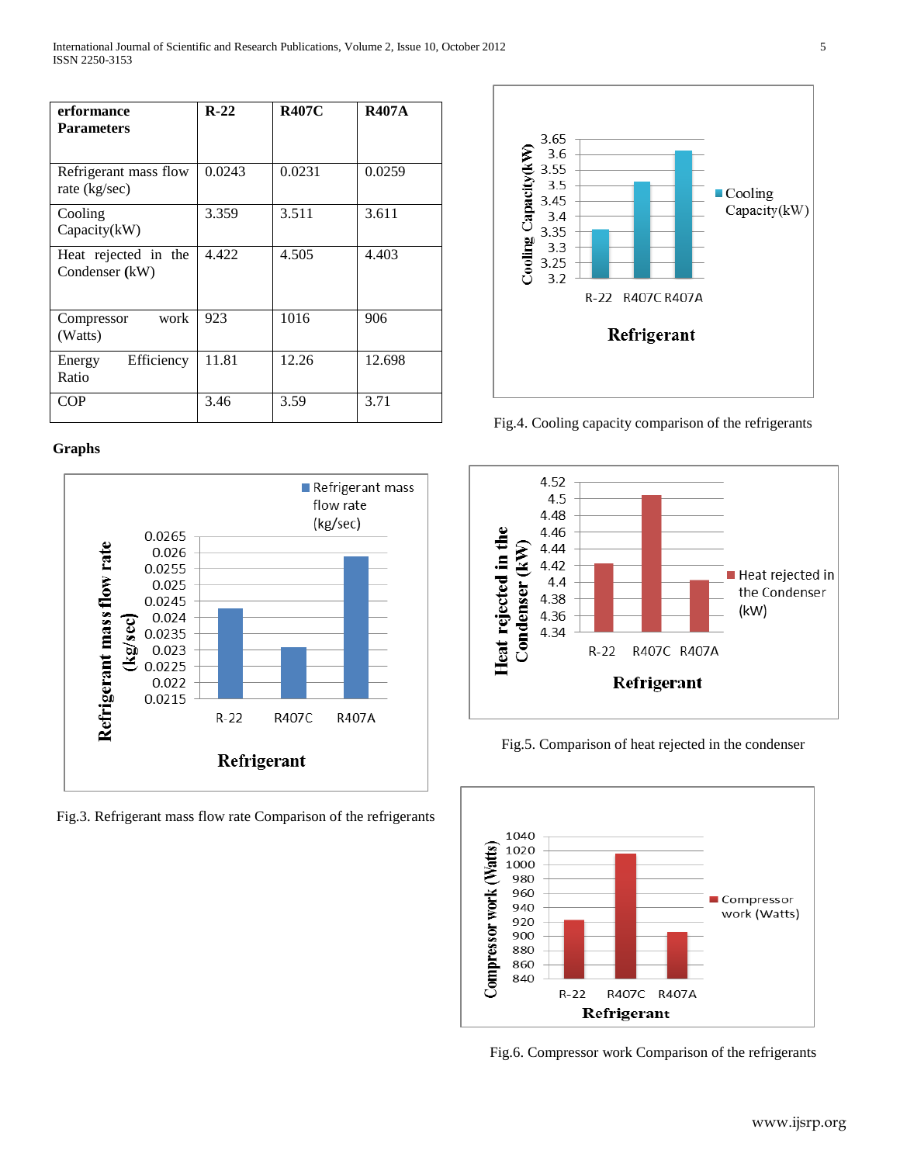| erformance<br><b>Parameters</b>          | $R-22$ | <b>R407C</b> | <b>R407A</b> |
|------------------------------------------|--------|--------------|--------------|
| Refrigerant mass flow<br>rate $(kg/sec)$ | 0.0243 | 0.0231       | 0.0259       |
| Cooling<br>Capacity(kW)                  | 3.359  | 3.511        | 3.611        |
| Heat rejected in the<br>Condenser (kW)   | 4.422  | 4.505        | 4.403        |
| work<br>Compressor<br>(Watts)            | 923    | 1016         | 906          |
| Efficiency<br>Energy<br>Ratio            | 11.81  | 12.26        | 12.698       |
| COP                                      | 3.46   | 3.59         | 3.71         |

# **Graphs**



Fig.3. Refrigerant mass flow rate Comparison of the refrigerants



Fig.4. Cooling capacity comparison of the refrigerants



Fig.5. Comparison of heat rejected in the condenser



Fig.6. Compressor work Comparison of the refrigerants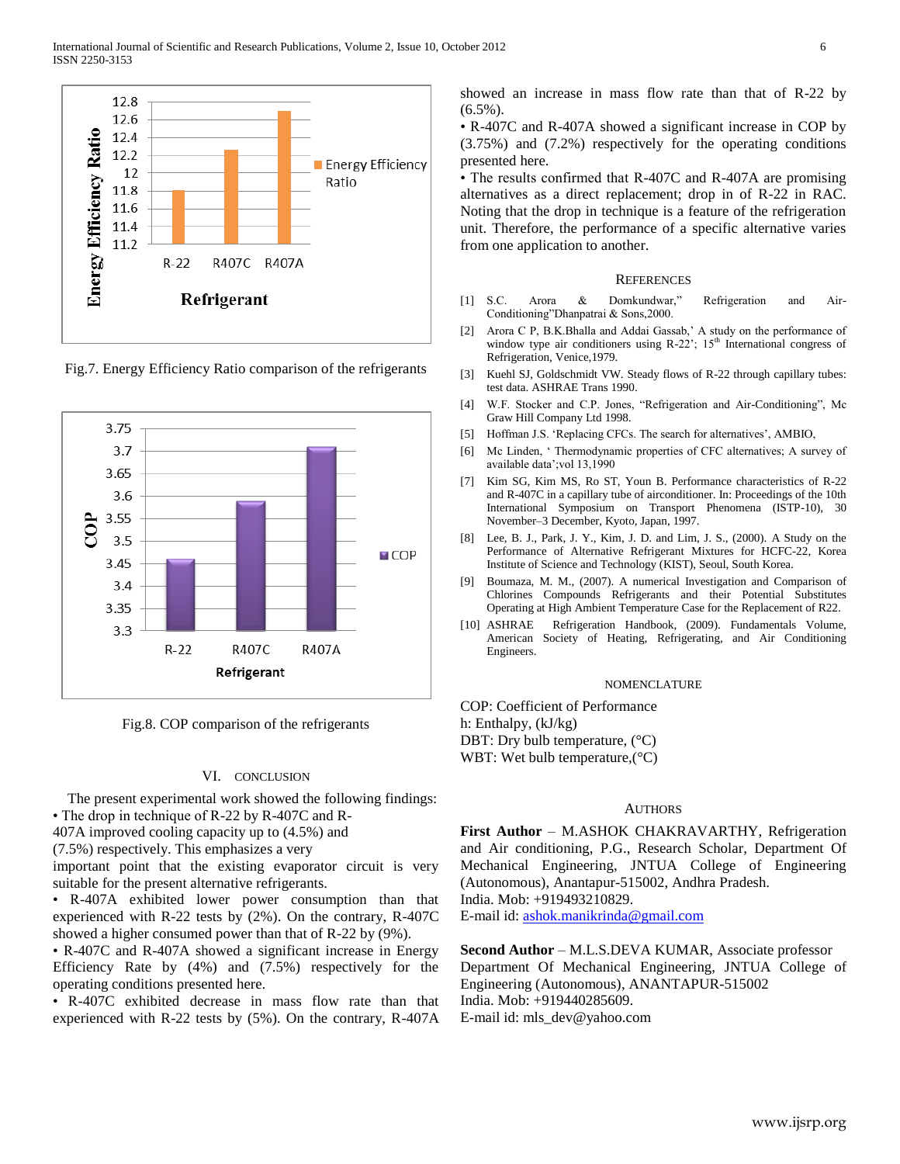

Fig.7. Energy Efficiency Ratio comparison of the refrigerants



Fig.8. COP comparison of the refrigerants

#### VI. CONCLUSION

 The present experimental work showed the following findings: • The drop in technique of R-22 by R-407C and R-

407A improved cooling capacity up to (4.5%) and

(7.5%) respectively. This emphasizes a very

important point that the existing evaporator circuit is very suitable for the present alternative refrigerants.

• R-407A exhibited lower power consumption than that experienced with R-22 tests by (2%). On the contrary, R-407C showed a higher consumed power than that of R-22 by (9%).

• R-407C and R-407A showed a significant increase in Energy Efficiency Rate by (4%) and (7.5%) respectively for the operating conditions presented here.

• R-407C exhibited decrease in mass flow rate than that experienced with R-22 tests by (5%). On the contrary, R-407A showed an increase in mass flow rate than that of R-22 by  $(6.5\%)$ .

• R-407C and R-407A showed a significant increase in COP by (3.75%) and (7.2%) respectively for the operating conditions presented here.

• The results confirmed that R-407C and R-407A are promising alternatives as a direct replacement; drop in of R-22 in RAC. Noting that the drop in technique is a feature of the refrigeration unit. Therefore, the performance of a specific alternative varies from one application to another.

#### **REFERENCES**

- [1] S.C. Arora & Domkundwar," Refrigeration and Air-Conditioning"Dhanpatrai & Sons,2000.
- [2] Arora C P, B.K.Bhalla and Addai Gassab," A study on the performance of window type air conditioners using  $R-22$ "; 15<sup>th</sup> International congress of Refrigeration, Venice,1979.
- [3] Kuehl SJ, Goldschmidt VW. Steady flows of R-22 through capillary tubes: test data. ASHRAE Trans 1990.
- [4] W.F. Stocker and C.P. Jones, "Refrigeration and Air-Conditioning", Mc Graw Hill Company Ltd 1998.
- [5] Hoffman J.S. 'Replacing CFCs. The search for alternatives', AMBIO,
- [6] Mc Linden, " Thermodynamic properties of CFC alternatives; A survey of available data";vol 13,1990
- [7] Kim SG, Kim MS, Ro ST, Youn B. Performance characteristics of R-22 and R-407C in a capillary tube of airconditioner. In: Proceedings of the 10th International Symposium on Transport Phenomena (ISTP-10), 30 November–3 December, Kyoto, Japan, 1997.
- Lee, B. J., Park, J. Y., Kim, J. D. and Lim, J. S., (2000). A Study on the Performance of Alternative Refrigerant Mixtures for HCFC-22, Korea Institute of Science and Technology (KIST), Seoul, South Korea.
- [9] Boumaza, M. M., (2007). A numerical Investigation and Comparison of Chlorines Compounds Refrigerants and their Potential Substitutes Operating at High Ambient Temperature Case for the Replacement of R22.
- [10] ASHRAE Refrigeration Handbook, (2009). Fundamentals Volume, American Society of Heating, Refrigerating, and Air Conditioning Engineers.

#### NOMENCLATURE

COP: Coefficient of Performance h: Enthalpy, (kJ/kg) DBT: Dry bulb temperature,  $(^{\circ}C)$ WBT: Wet bulb temperature, (°C)

#### AUTHORS

**First Author** – M.ASHOK CHAKRAVARTHY, Refrigeration and Air conditioning, P.G., Research Scholar, Department Of Mechanical Engineering, JNTUA College of Engineering (Autonomous), Anantapur-515002, Andhra Pradesh. India. Mob: +919493210829.

E-mail id: [ashok.manikrinda@gmail.com](mailto:ashok.manikrinda@gmail.com)

**Second Author** – M.L.S.DEVA KUMAR, Associate professor Department Of Mechanical Engineering, JNTUA College of Engineering (Autonomous), ANANTAPUR-515002 India. Mob: +919440285609. E-mail id: mls\_dev@yahoo.com